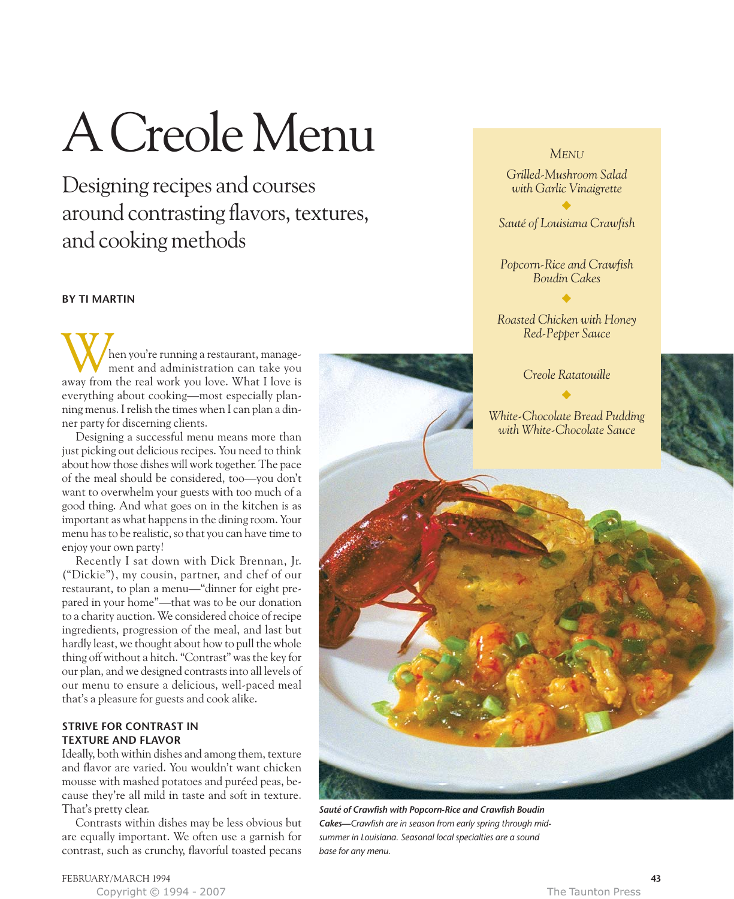# A Creole Menu

Designing recipes and courses around contrasting flavors, textures, and cooking methods

#### **BY TI MARTIN**

hen you're running a restaurant, management and administration can take you When you're running a restaurant, manage-<br>away from the real work you love. What I love is everything about cooking—most especially planning menus. I relish the times when I can plan a dinner party for discerning clients.

Designing a successful menu means more than just picking out delicious recipes. You need to think about how those dishes will work together. The pace of the meal should be considered, too—you don't want to overwhelm your guests with too much of a good thing. And what goes on in the kitchen is as important as what happens in the dining room. Your menu has to be realistic, so that you can have time to enjoy your own party!

Recently I sat down with Dick Brennan, Jr. ("Dickie"), my cousin, partner, and chef of our restaurant, to plan a menu—"dinner for eight prepared in your home"—that was to be our donation to a charity auction. We considered choice of recipe ingredients, progression of the meal, and last but hardly least, we thought about how to pull the whole thing off without a hitch. "Contrast" was the key for our plan, and we designed contrasts into all levels of our menu to ensure a delicious, well-paced meal that's a pleasure for guests and cook alike.

#### **STRIVE FOR CONTRAST IN TEXTURE AND FLAVOR**

Ideally, both within dishes and among them, texture and flavor are varied. You wouldn't want chicken mousse with mashed potatoes and puréed peas, because they're all mild in taste and soft in texture. That's pretty clear.

Contrasts within dishes may be less obvious but are equally important. We often use a garnish for contrast, such as crunchy, flavorful toasted pecans



*MENU*

*Sauté of Crawfish with Popcorn-Rice and Crawfish Boudin Cakes—Crawfish are in season from early spring through midsummer in Louisiana. Seasonal local specialties are a sound base for any menu.*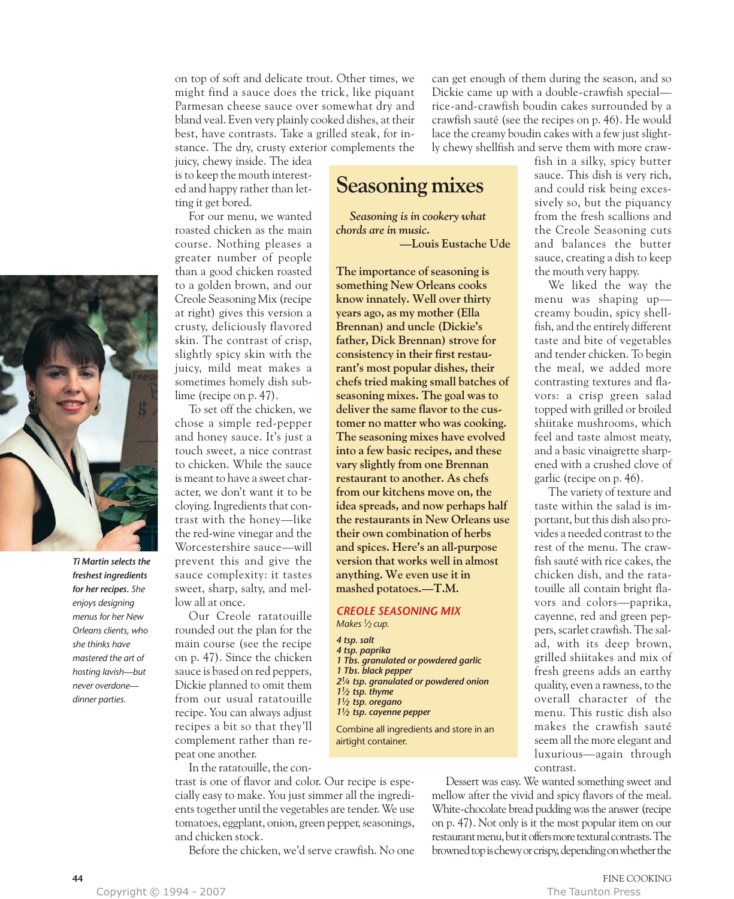

*freshest ingredients for her recipes. She enjoys designing menus for her New Orleans clients, who she thinks have mastered the art of hosting lavish—but never overdone dinner parties.*

on top of soft and delicate trout. Other times, we might find a sauce does the trick, like piquant Parmesan cheese sauce over somewhat dry and bland veal. Even very plainly cooked dishes, at their best, have contrasts. Take a grilled steak, for instance. The dry, crusty exterior complements the

juicy, chewy inside. The idea is to keep the mouth interested and happy rather than letting it get bored.

For our menu, we wanted roasted chicken as the main course. Nothing pleases a greater number of people than a good chicken roasted to a golden brown, and our Creole Seasoning Mix (recipe at right) gives this version a crusty, deliciously flavored skin. The contrast of crisp, slightly spicy skin with the juicy, mild meat makes a sometimes homely dish sublime (recipe on p. 47).

To set off the chicken, we chose a simple red-pepper and honey sauce. It's just a touch sweet, a nice contrast to chicken. While the sauce is meant to have a sweet character, we don't want it to be cloying. Ingredients that contrast with the honey—like the red-wine vinegar and the Worcestershire sauce—will prevent this and give the sauce complexity: it tastes sweet, sharp, salty, and mellow all at once.

Our Creole ratatouille rounded out the plan for the main course (see the recipe on p. 47). Since the chicken sauce is based on red peppers, Dickie planned to omit them from our usual ratatouille recipe. You can always adjust recipes a bit so that they'll complement rather than repeat one another.

In the ratatouille, the con-

trast is one of flavor and color. Our recipe is especially easy to make. You just simmer all the ingredients together until the vegetables are tender. We use tomatoes, eggplant, onion, green pepper, seasonings, and chicken stock.

Before the chicken, we'd serve crawfish. No one

can get enough of them during the season, and so Dickie came up with a double-crawfish special rice-and-crawfish boudin cakes surrounded by a crawfish sauté (see the recipes on p. 46). He would lace the creamy boudin cakes with a few just slightly chewy shellfish and serve them with more craw-

## **Seasoning mixes**

*Seasoning is in cookery what chords are in music.* **—Louis Eustache Ude**

**The importance of seasoning is something New Orleans cooks know innately. Well over thirty years ago, as my mother (Ella Brennan) and uncle (Dickie's father, Dick Brennan) strove for consistency in their first restaurant's most popular dishes, their chefs tried making small batches of seasoning mixes. The goal was to deliver the same flavor to the customer no matter who was cooking. The seasoning mixes have evolved into a few basic recipes, and these vary slightly from one Brennan restaurant to another. As chefs from our kitchens move on, the idea spreads, and now perhaps half the restaurants in New Orleans use their own combination of herbs and spices. Here's an all-purpose version that works well in almost anything. We even use it in mashed potatoes.—T.M.**

### *CREOLE SEASONING MIX*

*Makes 1⁄2 cup.*

*4 tsp. salt 4 tsp. paprika 1 Tbs. granulated or powdered garlic 1 Tbs. black pepper 21⁄4 tsp. granulated or powdered onion 11⁄2 tsp. thyme 11⁄2 tsp. oregano 11⁄2 tsp. cayenne pepper*

Combine all ingredients and store in an airtight container.

fish in a silky, spicy butter sauce. This dish is very rich, and could risk being excessively so, but the piquancy from the fresh scallions and the Creole Seasoning cuts and balances the butter sauce, creating a dish to keep the mouth very happy.

We liked the way the menu was shaping up creamy boudin, spicy shellfish, and the entirely different taste and bite of vegetables and tender chicken. To begin the meal, we added more contrasting textures and flavors: a crisp green salad topped with grilled or broiled shiitake mushrooms, which feel and taste almost meaty, and a basic vinaigrette sharpened with a crushed clove of garlic (recipe on p. 46).

The variety of texture and taste within the salad is important, but this dish also provides a needed contrast to the rest of the menu. The crawfish sauté with rice cakes, the chicken dish, and the ratatouille all contain bright flavors and colors—paprika, cayenne, red and green peppers, scarlet crawfish. The salad, with its deep brown, grilled shiitakes and mix of fresh greens adds an earthy quality, even a rawness, to the overall character of the menu. This rustic dish also makes the crawfish sauté seem all the more elegant and luxurious—again through contrast.

Dessert was easy. We wanted something sweet and mellow after the vivid and spicy flavors of the meal. White-chocolate bread pudding was the answer (recipe on p. 47). Not only is it the most popular item on our restaurant menu, but it offers more textural contrasts. The browned top is chewy or crispy, depending on whether the

Copyright © 1994 - 2007 The Taunton Press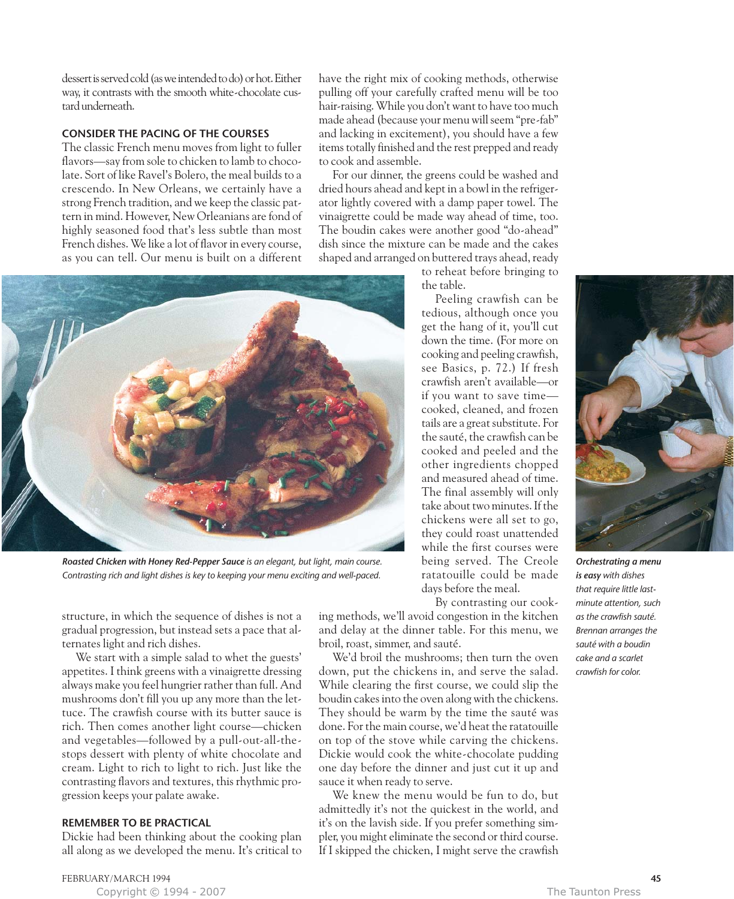dessert is served cold (as we intended to do) or hot. Either way, it contrasts with the smooth white-chocolate custard underneath.

#### **CONSIDER THE PACING OF THE COURSES**

The classic French menu moves from light to fuller flavors—say from sole to chicken to lamb to chocolate. Sort of like Ravel's Bolero, the meal builds to a crescendo. In New Orleans, we certainly have a strong French tradition, and we keep the classic pattern in mind. However, New Orleanians are fond of highly seasoned food that's less subtle than most French dishes. We like a lot of flavor in every course, as you can tell. Our menu is built on a different have the right mix of cooking methods, otherwise pulling off your carefully crafted menu will be too hair-raising. While you don't want to have too much made ahead (because your menu will seem "pre-fab" and lacking in excitement), you should have a few items totally finished and the rest prepped and ready to cook and assemble.

For our dinner, the greens could be washed and dried hours ahead and kept in a bowl in the refrigerator lightly covered with a damp paper towel. The vinaigrette could be made way ahead of time, too. The boudin cakes were another good "do-ahead" dish since the mixture can be made and the cakes shaped and arranged on buttered trays ahead, ready

*Roasted Chicken with Honey Red-Pepper Sauce is an elegant, but light, main course. Contrasting rich and light dishes is key to keeping your menu exciting and well-paced.* 

structure, in which the sequence of dishes is not a gradual progression, but instead sets a pace that alternates light and rich dishes.

We start with a simple salad to whet the guests' appetites. I think greens with a vinaigrette dressing always make you feel hungrier rather than full. And mushrooms don't fill you up any more than the lettuce. The crawfish course with its butter sauce is rich. Then comes another light course—chicken and vegetables—followed by a pull-out-all-thestops dessert with plenty of white chocolate and cream. Light to rich to light to rich. Just like the contrasting flavors and textures, this rhythmic progression keeps your palate awake.

#### **REMEMBER TO BE PRACTICAL**

Dickie had been thinking about the cooking plan all along as we developed the menu. It's critical to to reheat before bringing to the table.

Peeling crawfish can be tedious, although once you get the hang of it, you'll cut down the time. (For more on cooking and peeling crawfish, see Basics, p. 72.) If fresh crawfish aren't available—or if you want to save time cooked, cleaned, and frozen tails are a great substitute. For the sauté, the crawfish can be cooked and peeled and the other ingredients chopped and measured ahead of time. The final assembly will only take about two minutes. If the chickens were all set to go, they could roast unattended while the first courses were being served. The Creole ratatouille could be made days before the meal.

By contrasting our cook-

ing methods, we'll avoid congestion in the kitchen and delay at the dinner table. For this menu, we broil, roast, simmer, and sauté.

We'd broil the mushrooms; then turn the oven down, put the chickens in, and serve the salad. While clearing the first course, we could slip the boudin cakes into the oven along with the chickens. They should be warm by the time the sauté was done. For the main course, we'd heat the ratatouille on top of the stove while carving the chickens. Dickie would cook the white-chocolate pudding one day before the dinner and just cut it up and sauce it when ready to serve.

We knew the menu would be fun to do, but admittedly it's not the quickest in the world, and it's on the lavish side. If you prefer something simpler, you might eliminate the second or third course. If I skipped the chicken, I might serve the crawfish



*Orchestrating a menu is easy with dishes that require little lastminute attention, such*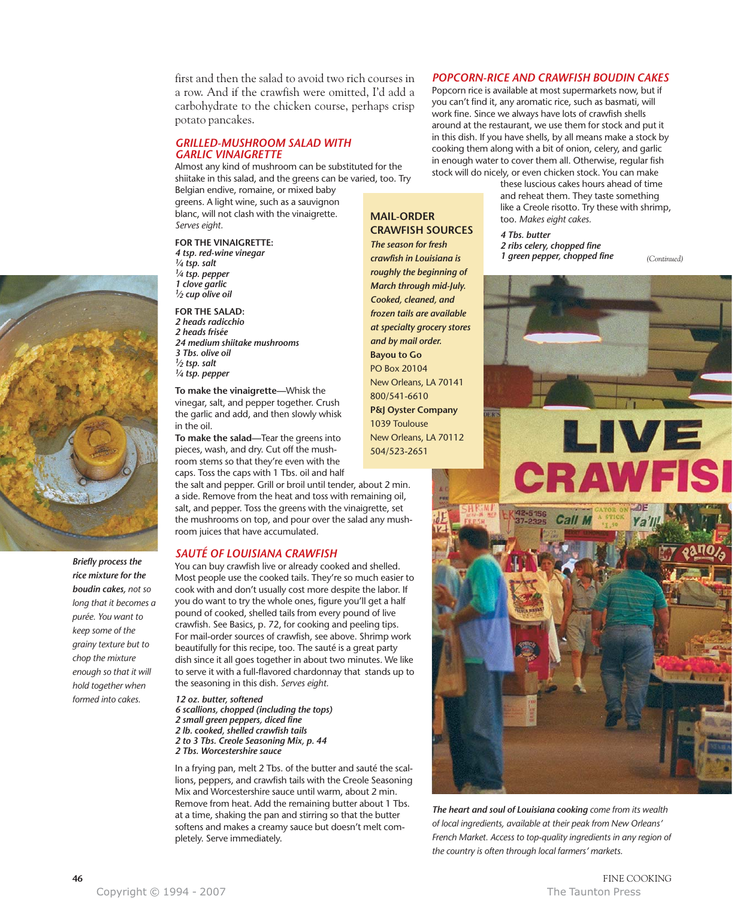first and then the salad to avoid two rich courses in a row. And if the crawfish were omitted, I'd add a carbohydrate to the chicken course, perhaps crisp potato pancakes.

#### *GRILLED-MUSHROOM SALAD WITH GARLIC VINAIGRETTE*

Almost any kind of mushroom can be substituted for the shiitake in this salad, and the greens can be varied, too. Try Belgian endive, romaine, or mixed baby

**MAIL-ORDER**

**Bayou to Go** PO Box 20104

800/541-6610

1039 Toulouse

504/523-2651

**CRAWFISH SOURCES** *The season for fresh crawfish in Louisiana is*

greens. A light wine, such as a sauvignon blanc, will not clash with the vinaigrette. *Serves eight.*

**FOR THE VINAIGRETTE:** *4 tsp. red-wine vinegar 1⁄4 tsp. salt*

*1⁄4 tsp. pepper 1 clove garlic 1⁄2 cup olive oil*

#### **FOR THE SALAD:**

*2 heads radicchio 2 heads frisée 24 medium shiitake mushrooms 3 Tbs. olive oil 1⁄2 tsp. salt 1⁄4 tsp. pepper*

**To make the vinaigrette—**Whisk the vinegar, salt, and pepper together. Crush the garlic and add, and then slowly whisk in the oil.

**To make the salad—**Tear the greens into pieces, wash, and dry. Cut off the mushroom stems so that they're even with the caps. Toss the caps with 1 Tbs. oil and half

the salt and pepper. Grill or broil until tender, about 2 min. a side. Remove from the heat and toss with remaining oil, salt, and pepper. Toss the greens with the vinaigrette, set the mushrooms on top, and pour over the salad any mushroom juices that have accumulated.

#### *SAUTÉ OF LOUISIANA CRAWFISH*

You can buy crawfish live or already cooked and shelled. Most people use the cooked tails. They're so much easier to cook with and don't usually cost more despite the labor. If you do want to try the whole ones, figure you'll get a half pound of cooked, shelled tails from every pound of live crawfish. See Basics, p. 72, for cooking and peeling tips. For mail-order sources of crawfish, see above. Shrimp work beautifully for this recipe, too. The sauté is a great party dish since it all goes together in about two minutes. We like to serve it with a full-flavored chardonnay that stands up to the seasoning in this dish. *Serves eight.*

*12 oz. butter, softened* 

- *6 scallions, chopped (including the tops) 2 small green peppers, diced fine 2 lb. cooked, shelled crawfish tails*
- *2 to 3 Tbs. Creole Seasoning Mix, p. 44 2 Tbs. Worcestershire sauce*

In a frying pan, melt 2 Tbs. of the butter and sauté the scallions, peppers, and crawfish tails with the Creole Seasoning Mix and Worcestershire sauce until warm, about 2 min. Remove from heat. Add the remaining butter about 1 Tbs. at a time, shaking the pan and stirring so that the butter softens and makes a creamy sauce but doesn't melt completely. Serve immediately.

#### *POPCORN-RICE AND CRAWFISH BOUDIN CAKES*

Popcorn rice is available at most supermarkets now, but if you can't find it, any aromatic rice, such as basmati, will work fine. Since we always have lots of crawfish shells around at the restaurant, we use them for stock and put it in this dish. If you have shells, by all means make a stock by cooking them along with a bit of onion, celery, and garlic in enough water to cover them all. Otherwise, regular fish stock will do nicely, or even chicken stock. You can make

> these luscious cakes hours ahead of time and reheat them. They taste something like a Creole risotto. Try these with shrimp, too. *Makes eight cakes.*

*4 Tbs. butter 2 ribs celery, chopped fine 1 green pepper, chopped fine*

*(Continued)*



*The heart and soul of Louisiana cooking come from its wealth of local ingredients, available at their peak from New Orleans' French Market. Access to top-quality ingredients in any region of the country is often through local farmers' markets.*



*rice mixture for the boudin cakes, not so long that it becomes a purée. You want to keep some of the grainy texture but to chop the mixture enough so that it will hold together when formed into cakes.*